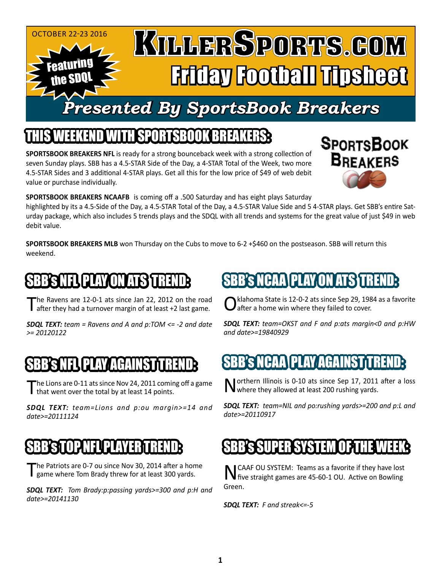#### October 22-23 2016 KULLERSPORTS.GOM Featuring Friday Football Tipsheet the SDQL *Presented By SportsBook Breakers*

### THIS WEEKEND WITH SPORTSBOOK BREAKS WITH SPORTSBOOK BREAKS

**SPORTSBOOK BREAKERS NFL** is ready for a strong bounceback week with a strong collection of seven Sunday plays. SBB has a 4.5-STAR Side of the Day, a 4-STAR Total of the Week, two more 4.5-STAR Sides and 3 additional 4-STAR plays. Get all this for the low price of \$49 of web debit value or purchase individually.



**SPORTSBOOK BREAKERS NCAAFB** is coming off a .500 Saturday and has eight plays Saturday

highlighted by its a 4.5-Side of the Day, a 4.5-STAR Total of the Day, a 4.5-STAR Value Side and 5 4-STAR plays. Get SBB's entire Saturday package, which also includes 5 trends plays and the SDQL with all trends and systems for the great value of just \$49 in web debit value.

**SPORTSBOOK BREAKERS MLB** won Thursday on the Cubs to move to 6-2 +\$460 on the postseason. SBB will return this weekend.

# I 3 K PLAY (DN

The Ravens are 12-0-1 ats since Jan 22, 2012 on the road after they had a turnover margin of at least +2 last game.

*SDQL TEXT: team = Ravens and A and p:TOM <= -2 and date >= 20120122*

# BB'S NFL PLAY AGAINST TREN

The Lions are 0-11 ats since Nov 24, 2011 coming off a game that went over the total by at least 14 points.

*SDQL TEXT: team=Lions and p:ou margin>=14 and date>=20111124*

### SBB's TOP NFL PLAYER TREND:

The Patriots are 0-7 ou since Nov 30, 2014 after a home game where Tom Brady threw for at least 300 yards.

*SDQL TEXT: Tom Brady:p:passing yards>=300 and p:H and date>=20141130* 

# PLAY TIN

klahoma State is 12-0-2 ats since Sep 29, 1984 as a favorite after a home win where they failed to cover.

*SDQL TEXT: team=OKST and F and p:ats margin<0 and p:HW and date>=19840929*

## BB's NCAA\PLAY AGAINST

Northern Illinois is 0-10 ats since Sep 17, 2011 after a loss where they allowed at least 200 rushing yards.

*SDQL TEXT: team=NIL and po:rushing yards>=200 and p:L and date>=20110917*

### SBB's SUPER SYSTEM OF THE WEEK:

NCAAF OU SYSTEM: Teams as a favorite if they have lost five straight games are 45-60-1 OU. Active on Bowling Green.

*SDQL TEXT: F and streak<=-5*